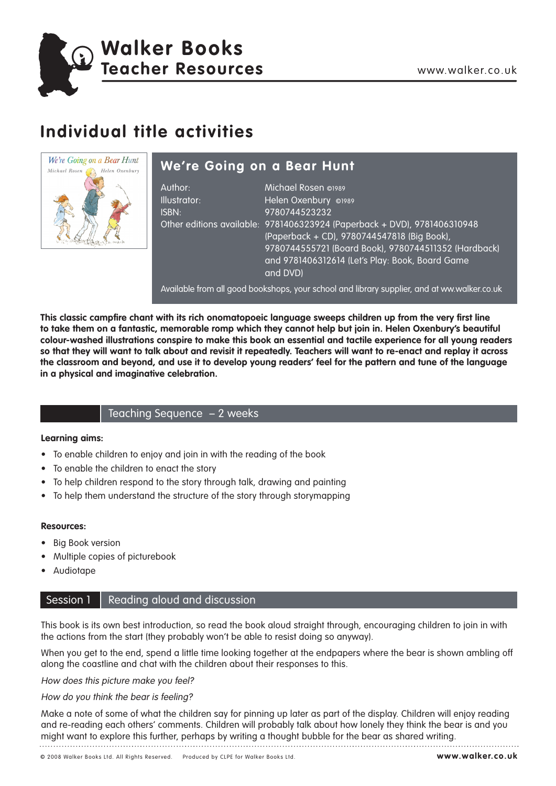

Walker Books<br>Teacher Resources www.walker.co.uk **Walker Books Teacher Resources**

## **Individual title activities**



## **We're Going on a Bear Hunt**

| Author:<br>Illustrator:<br>ISBN: | Michael Rosen @1989<br>Helen Oxenbury @1989<br>9780744523232<br>Other editions available: 9781406323924 (Paperback + DVD), 9781406310948<br>(Paperback + CD), 9780744547818 (Big Book),<br>9780744555721 (Board Book), 9780744511352 (Hardback)<br>and 9781406312614 (Let's Play: Book, Board Game<br>and DVDI |
|----------------------------------|----------------------------------------------------------------------------------------------------------------------------------------------------------------------------------------------------------------------------------------------------------------------------------------------------------------|
|                                  |                                                                                                                                                                                                                                                                                                                |

Available from all good bookshops, your school and library supplier, and at ww.walker.co.uk

**This classic campfire chant with its rich onomatopoeic language sweeps children up from the very first line to take them on a fantastic, memorable romp which they cannot help but join in. Helen Oxenbury's beautiful colour-washed illustrations conspire to make this book an essential and tactile experience for all young readers so that they will want to talk about and revisit it repeatedly. Teachers will want to re-enact and replay it across the classroom and beyond, and use it to develop young readers' feel for the pattern and tune of the language in a physical and imaginative celebration.**

## Teaching Sequence – 2 weeks

## **Learning aims:**

- To enable children to enjoy and join in with the reading of the book
- To enable the children to enact the story
- To help children respond to the story through talk, drawing and painting
- To help them understand the structure of the story through storymapping

## **Resources:**

- **Big Book version**
- Multiple copies of picturebook
- Audiotape

## Session 1 Reading aloud and discussion

This book is its own best introduction, so read the book aloud straight through, encouraging children to join in with the actions from the start (they probably won't be able to resist doing so anyway).

When you get to the end, spend a little time looking together at the endpapers where the bear is shown ambling off along the coastline and chat with the children about their responses to this.

How does this picture make you feel?

## How do you think the bear is feeling?

Make a note of some of what the children say for pinning up later as part of the display. Children will enjoy reading and re-reading each others' comments. Children will probably talk about how lonely they think the bear is and you might want to explore this further, perhaps by writing a thought bubble for the bear as shared writing.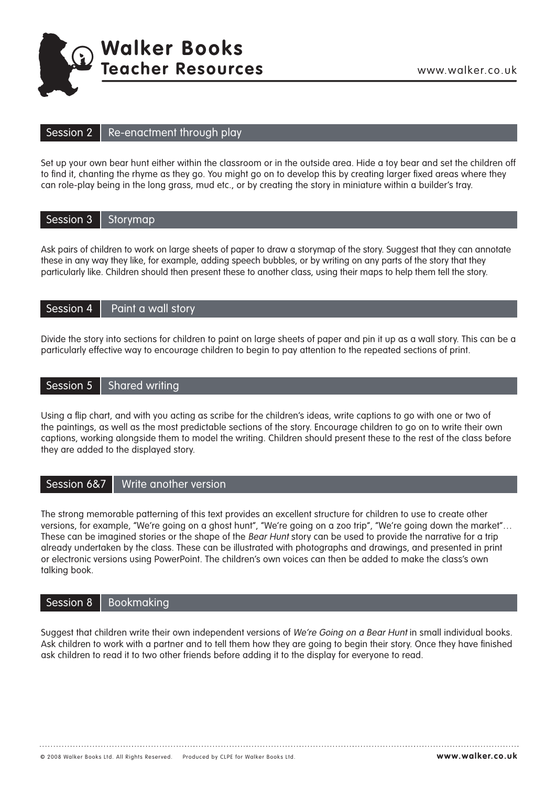

# Walker Books<br>Teacher Resources www.walker.co.uk **Walker Books Teacher Resources**

#### Session 2 Re-enactment through play

Set up your own bear hunt either within the classroom or in the outside area. Hide a toy bear and set the children off to find it, chanting the rhyme as they go. You might go on to develop this by creating larger fixed areas where they can role-play being in the long grass, mud etc., or by creating the story in miniature within a builder's tray.

|  | Session 3   Storymap |
|--|----------------------|
|--|----------------------|

Ask pairs of children to work on large sheets of paper to draw a storymap of the story. Suggest that they can annotate these in any way they like, for example, adding speech bubbles, or by writing on any parts of the story that they particularly like. Children should then present these to another class, using their maps to help them tell the story.

#### Session 4 Paint a wall story

Divide the story into sections for children to paint on large sheets of paper and pin it up as a wall story. This can be a particularly effective way to encourage children to begin to pay attention to the repeated sections of print.

#### Session 5 Shared writing

Using a flip chart, and with you acting as scribe for the children's ideas, write captions to go with one or two of the paintings, as well as the most predictable sections of the story. Encourage children to go on to write their own captions, working alongside them to model the writing. Children should present these to the rest of the class before they are added to the displayed story.

#### Session 6&7 Write another version

The strong memorable patterning of this text provides an excellent structure for children to use to create other versions, for example, "We're going on a ghost hunt", "We're going on a zoo trip", "We're going down the market"… These can be imagined stories or the shape of the Bear Hunt story can be used to provide the narrative for a trip already undertaken by the class. These can be illustrated with photographs and drawings, and presented in print or electronic versions using PowerPoint. The children's own voices can then be added to make the class's own talking book.

#### Session 8 Bookmaking

Suggest that children write their own independent versions of We're Going on a Bear Hunt in small individual books. Ask children to work with a partner and to tell them how they are going to begin their story. Once they have finished ask children to read it to two other friends before adding it to the display for everyone to read.